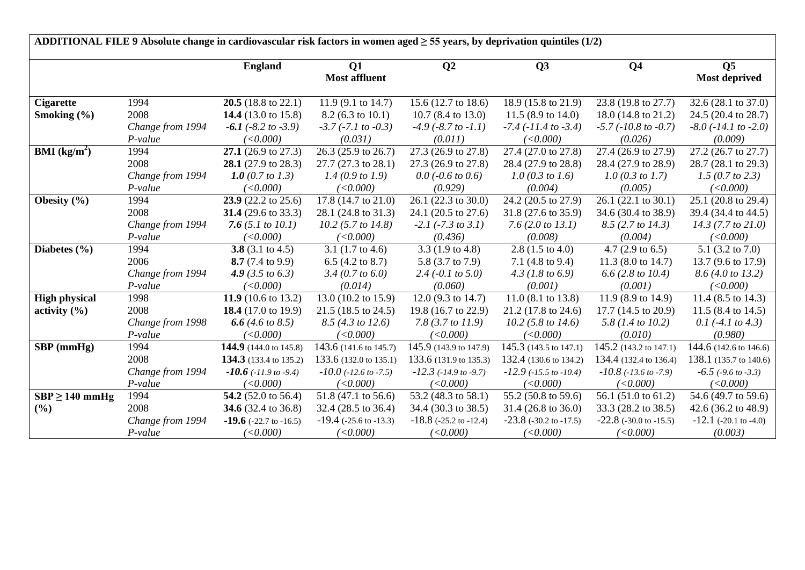| ADDITIONAL FILE 9 Absolute change in cardiovascular risk factors in women aged $\geq$ 55 years, by deprivation quintiles (1/2) |                  |                                |                                |                                |                                |                                  |                              |  |  |  |
|--------------------------------------------------------------------------------------------------------------------------------|------------------|--------------------------------|--------------------------------|--------------------------------|--------------------------------|----------------------------------|------------------------------|--|--|--|
|                                                                                                                                |                  | <b>England</b>                 | Q1                             | Q <sub>2</sub>                 | Q3                             | Q <sub>4</sub>                   | Q <sub>5</sub>               |  |  |  |
|                                                                                                                                |                  |                                | <b>Most affluent</b>           |                                |                                |                                  | <b>Most deprived</b>         |  |  |  |
| <b>Cigarette</b>                                                                                                               | 1994             | 20.5 (18.8 to 22.1)            | 11.9 $(9.1 \text{ to } 14.7)$  | 15.6 (12.7 to 18.6)            | 18.9 (15.8 to 21.9)            | 23.8 (19.8 to 27.7)              | 32.6 (28.1 to 37.0)          |  |  |  |
| Smoking $(\% )$                                                                                                                | 2008             | 14.4 (13.0 to 15.8)            | $8.2(6.3 \text{ to } 10.1)$    | $10.7$ (8.4 to 13.0)           | 11.5 $(8.9 \text{ to } 14.0)$  | 18.0 (14.8 to 21.2)              | 24.5 (20.4 to 28.7)          |  |  |  |
|                                                                                                                                | Change from 1994 | $-6.1$ ( $-8.2$ to $-3.9$ )    | $-3.7$ ( $-7.1$ to $-0.3$ )    | $-4.9$ ( $-8.7$ to $-1.1$ )    | $-7.4$ ( $-11.4$ to $-3.4$ )   | $-5.7$ ( $-10.8$ to $-0.7$ )     | $-8.0$ ( $-14.1$ to $-2.0$ ) |  |  |  |
|                                                                                                                                | P-value          | (<0.000)                       | (0.031)                        | (0.011)                        | (<0.000)                       | (0.026)                          | (0.009)                      |  |  |  |
| <b>BMI</b> ( $kg/m2$ )                                                                                                         | 1994             | 27.1 $(26.9 \text{ to } 27.3)$ | 26.3 (25.9 to 26.7)            | 27.3 (26.9 to 27.8)            | 27.4 (27.0 to 27.8)            | 27.4 (26.9 to 27.9)              | 27.2 (26.7 to 27.7)          |  |  |  |
|                                                                                                                                | 2008             | 28.1 (27.9 to 28.3)            | 27.7 (27.3 to 28.1)            | 27.3 (26.9 to 27.8)            | 28.4 (27.9 to 28.8)            | 28.4 (27.9 to 28.9)              | 28.7 (28.1 to 29.3)          |  |  |  |
|                                                                                                                                | Change from 1994 | 1.0 $(0.7 \text{ to } 1.3)$    | 1.4(0.9 to 1.9)                | $0.0$ (-0.6 to 0.6)            | $1.0$ (0.3 to 1.6)             | $1.0$ (0.3 to 1.7)               | 1.5 (0.7 to 2.3)             |  |  |  |
|                                                                                                                                | $P-value$        | (<0.000)                       | (<0.000)                       | (0.929)                        | (0.004)                        | (0.005)                          | (<0.000)                     |  |  |  |
| Obesity (%)                                                                                                                    | 1994             | 23.9 (22.2 to 25.6)            | 17.8 (14.7 to 21.0)            | 26.1 (22.3 to 30.0)            | 24.2 (20.5 to 27.9)            | $\overline{26.1}$ (22.1 to 30.1) | 25.1 (20.8 to 29.4)          |  |  |  |
|                                                                                                                                | 2008             | 31.4 $(29.6 \text{ to } 33.3)$ | 28.1 (24.8 to 31.3)            | 24.1 (20.5 to 27.6)            | 31.8 (27.6 to 35.9)            | 34.6 (30.4 to 38.9)              | 39.4 (34.4 to 44.5)          |  |  |  |
|                                                                                                                                | Change from 1994 | 7.6 $(5.1 to 10.1)$            | $10.2$ (5.7 to 14.8)           | $-2.1$ ( $-7.3$ to $3.1$ )     | 7.6 $(2.0 \text{ to } 13.1)$   | 8.5 (2.7 to 14.3)                | $14.3$ (7.7 to 21.0)         |  |  |  |
|                                                                                                                                | P-value          | (<0.000)                       | (<0.000)                       | (0.436)                        | (0.008)                        | (0.004)                          | (<0.000)                     |  |  |  |
| Diabetes $(\% )$                                                                                                               | 1994             | 3.8 $(3.1 \text{ to } 4.5)$    | 3.1 $(1.7 \text{ to } 4.6)$    | 3.3 $(1.9 \text{ to } 4.8)$    | 2.8 $(1.5 \text{ to } 4.0)$    | 4.7 $(2.9 \text{ to } 6.5)$      | 5.1 $(3.2 \text{ to } 7.0)$  |  |  |  |
|                                                                                                                                | 2006             | 8.7 $(7.4 \text{ to } 9.9)$    | 6.5 $(4.2 \text{ to } 8.7)$    | 5.8 (3.7 to 7.9)               | 7.1 $(4.8 \text{ to } 9.4)$    | 11.3 $(8.0 \text{ to } 14.7)$    | 13.7 (9.6 to 17.9)           |  |  |  |
|                                                                                                                                | Change from 1994 | 4.9 $(3.5 \text{ to } 6.3)$    | 3.4 (0.7 to 6.0)               | $2.4$ (-0.1 to 5.0)            | $4.3$ (1.8 to 6.9)             | $6.6$ (2.8 to 10.4)              | 8.6 (4.0 to 13.2)            |  |  |  |
|                                                                                                                                | P-value          | (<0.000)                       | (0.014)                        | (0.060)                        | (0.001)                        | (0.001)                          | (<0.000)                     |  |  |  |
| <b>High physical</b>                                                                                                           | 1998             | 11.9 (10.6 to 13.2)            | 13.0 (10.2 to 15.9)            | 12.0 $(9.3 \text{ to } 14.7)$  | 11.0 (8.1 to 13.8)             | 11.9 (8.9 to 14.9)               | 11.4 (8.5 to 14.3)           |  |  |  |
| activity $(\% )$                                                                                                               | 2008             | 18.4 $(17.0 \text{ to } 19.9)$ | 21.5 (18.5 to 24.5)            | 19.8 (16.7 to 22.9)            | 21.2 (17.8 to 24.6)            | 17.7 (14.5 to 20.9)              | 11.5 (8.4 to 14.5)           |  |  |  |
|                                                                                                                                | Change from 1998 | 6.6 $(4.6 \text{ to } 8.5)$    | 8.5 (4.3 to 12.6)              | 7.8 $(3.7 to 11.9)$            | $10.2$ (5.8 to 14.6)           | 5.8 (1.4 to 10.2)                | 0.1 $(-4.1 \text{ to } 4.3)$ |  |  |  |
|                                                                                                                                | $P-value$        | (<0.000)                       | (<0.000)                       | (<0.000)                       | (<0.000)                       | (0.010)                          | (0.980)                      |  |  |  |
| $SBP$ (mmHg)                                                                                                                   | 1994             | 144.9 (144.0 to 145.8)         | 143.6 (141.6 to 145.7)         | 145.9 (143.9 to 147.9)         | 145.3 (143.5 to 147.1)         | 145.2 (143.2 to 147.1)           | 144.6 (142.6 to 146.6)       |  |  |  |
|                                                                                                                                | 2008             | 134.3 (133.4 to 135.2)         | 133.6 (132.0 to 135.1)         | 133.6 (131.9 to 135.3)         | 132.4 (130.6 to 134.2)         | 134.4 (132.4 to 136.4)           | 138.1 (135.7 to 140.6)       |  |  |  |
|                                                                                                                                | Change from 1994 | $-10.6$ ( $-11.9$ to $-9.4$ )  | $-10.0$ ( $-12.6$ to $-7.5$ )  | $-12.3$ ( $-14.9$ to $-9.7$ )  | $-12.9$ ( $-15.5$ to $-10.4$ ) | $-10.8$ ( $-13.6$ to $-7.9$ )    | $-6.5$ ( $-9.6$ to $-3.3$ )  |  |  |  |
|                                                                                                                                | P-value          | (<0.000)                       | (<0.000)                       | (<0.000)                       | (<0.000)                       | (<0.000)                         | (<0.000)                     |  |  |  |
| $SBP \ge 140$ mmHg                                                                                                             | 1994             | 54.2 (52.0 to 56.4)            | 51.8 (47.1 to 56.6)            | 53.2 (48.3 to 58.1)            | 55.2 (50.8 to 59.6)            | 56.1 (51.0 to 61.2)              | 54.6 (49.7 to 59.6)          |  |  |  |
| $(\%)$                                                                                                                         | 2008             | <b>34.6</b> (32.4 to 36.8)     | 32.4 (28.5 to 36.4)            | 34.4 (30.3 to 38.5)            | 31.4 (26.8 to 36.0)            | 33.3 (28.2 to 38.5)              | 42.6 (36.2 to 48.9)          |  |  |  |
|                                                                                                                                | Change from 1994 | $-19.6$ (-22.7 to -16.5)       | $-19.4$ ( $-25.6$ to $-13.3$ ) | $-18.8$ ( $-25.2$ to $-12.4$ ) | $-23.8$ ( $-30.2$ to $-17.5$ ) | $-22.8$ (-30.0 to -15.5)         | $-12.1$ (-20.1 to -4.0)      |  |  |  |
|                                                                                                                                | P-value          | (<0.000)                       | (<0.000)                       | (<0.000)                       | (<0.000)                       | (<0.000)                         | (0.003)                      |  |  |  |